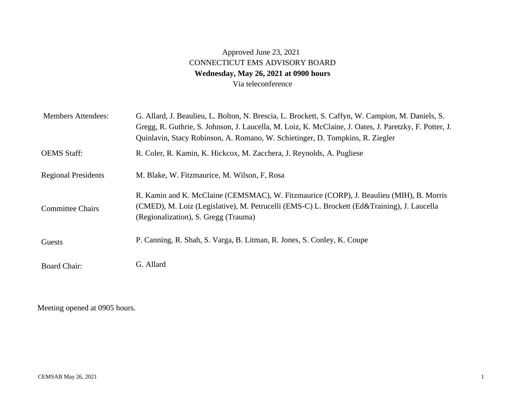## Approved June 23, 2021 CONNECTICUT EMS ADVISORY BOARD **Wednesday, May 26, 2021 at 0900 hours**  Via teleconference

| <b>Members Attendees:</b>  | G. Allard, J. Beaulieu, L. Bolton, N. Brescia, L. Brockett, S. Caffyn, W. Campion, M. Daniels, S.<br>Gregg, R. Guthrie, S. Johnson, J. Laucella, M. Loiz, K. McClaine, J. Oates, J. Paretzky, F. Potter, J.<br>Quinlavin, Stacy Robinson, A. Romano, W. Schietinger, D. Tompkins, R. Ziegler |
|----------------------------|----------------------------------------------------------------------------------------------------------------------------------------------------------------------------------------------------------------------------------------------------------------------------------------------|
| <b>OEMS</b> Staff:         | R. Coler, R. Kamin, K. Hickcox, M. Zacchera, J. Reynolds, A. Pugliese                                                                                                                                                                                                                        |
| <b>Regional Presidents</b> | M. Blake, W. Fitzmaurice, M. Wilson, F. Rosa                                                                                                                                                                                                                                                 |
| <b>Committee Chairs</b>    | R. Kamin and K. McClaine (CEMSMAC), W. Fitzmaurice (CORP), J. Beaulieu (MIH), B. Morris<br>(CMED), M. Loiz (Legislative), M. Petrucelli (EMS-C) L. Brockett (Ed&Training), J. Laucella<br>(Regionalization), S. Gregg (Trauma)                                                               |
| Guests                     | P. Canning, R. Shah, S. Varga, B. Litman, R. Jones, S. Conley, K. Coupe                                                                                                                                                                                                                      |
| <b>Board Chair:</b>        | G. Allard                                                                                                                                                                                                                                                                                    |

Meeting opened at 0905 hours.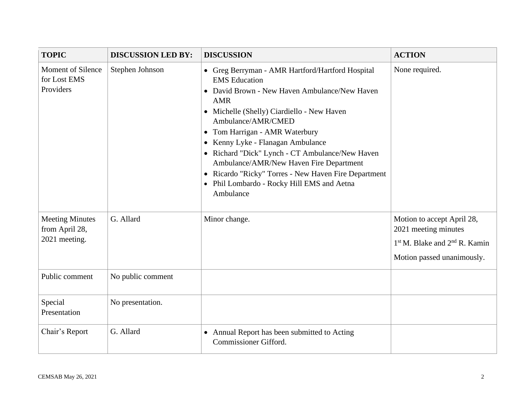| <b>TOPIC</b>                                              | <b>DISCUSSION LED BY:</b> | <b>DISCUSSION</b>                                                                                                                                                                                                                                                                                                                                                                                                                                                                                   | <b>ACTION</b>                                                                                                                             |
|-----------------------------------------------------------|---------------------------|-----------------------------------------------------------------------------------------------------------------------------------------------------------------------------------------------------------------------------------------------------------------------------------------------------------------------------------------------------------------------------------------------------------------------------------------------------------------------------------------------------|-------------------------------------------------------------------------------------------------------------------------------------------|
| <b>Moment of Silence</b><br>for Lost EMS<br>Providers     | Stephen Johnson           | • Greg Berryman - AMR Hartford/Hartford Hospital<br><b>EMS</b> Education<br>• David Brown - New Haven Ambulance/New Haven<br><b>AMR</b><br>• Michelle (Shelly) Ciardiello - New Haven<br>Ambulance/AMR/CMED<br>• Tom Harrigan - AMR Waterbury<br>• Kenny Lyke - Flanagan Ambulance<br>• Richard "Dick" Lynch - CT Ambulance/New Haven<br>Ambulance/AMR/New Haven Fire Department<br>• Ricardo "Ricky" Torres - New Haven Fire Department<br>• Phil Lombardo - Rocky Hill EMS and Aetna<br>Ambulance | None required.                                                                                                                            |
| <b>Meeting Minutes</b><br>from April 28,<br>2021 meeting. | G. Allard                 | Minor change.                                                                                                                                                                                                                                                                                                                                                                                                                                                                                       | Motion to accept April 28,<br>2021 meeting minutes<br>1 <sup>st</sup> M. Blake and 2 <sup>nd</sup> R. Kamin<br>Motion passed unanimously. |
| Public comment                                            | No public comment         |                                                                                                                                                                                                                                                                                                                                                                                                                                                                                                     |                                                                                                                                           |
| Special<br>Presentation                                   | No presentation.          |                                                                                                                                                                                                                                                                                                                                                                                                                                                                                                     |                                                                                                                                           |
| Chair's Report                                            | G. Allard                 | • Annual Report has been submitted to Acting<br>Commissioner Gifford.                                                                                                                                                                                                                                                                                                                                                                                                                               |                                                                                                                                           |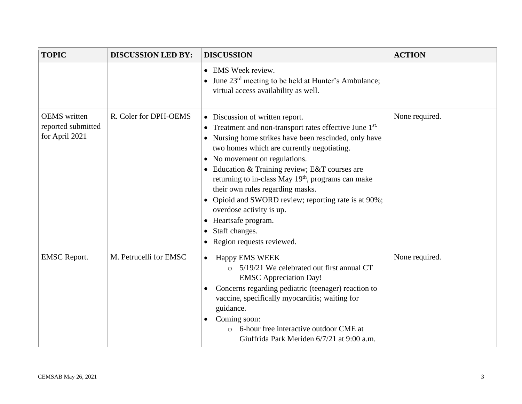| <b>TOPIC</b>                                                | <b>DISCUSSION LED BY:</b> | <b>DISCUSSION</b>                                                                                                                                                                                                                                                                                                                                                                                                                                                                                                                                                                                              | <b>ACTION</b>  |
|-------------------------------------------------------------|---------------------------|----------------------------------------------------------------------------------------------------------------------------------------------------------------------------------------------------------------------------------------------------------------------------------------------------------------------------------------------------------------------------------------------------------------------------------------------------------------------------------------------------------------------------------------------------------------------------------------------------------------|----------------|
|                                                             |                           | • EMS Week review.<br>• June 23 <sup>rd</sup> meeting to be held at Hunter's Ambulance;<br>virtual access availability as well.                                                                                                                                                                                                                                                                                                                                                                                                                                                                                |                |
| <b>OEMS</b> written<br>reported submitted<br>for April 2021 | R. Coler for DPH-OEMS     | • Discussion of written report.<br>Treatment and non-transport rates effective June 1st.<br>$\bullet$<br>Nursing home strikes have been rescinded, only have<br>$\bullet$<br>two homes which are currently negotiating.<br>• No movement on regulations.<br>Education & Training review; E&T courses are<br>$\bullet$<br>returning to in-class May 19 <sup>th</sup> , programs can make<br>their own rules regarding masks.<br>• Opioid and SWORD review; reporting rate is at 90%;<br>overdose activity is up.<br>Heartsafe program.<br>$\bullet$<br>Staff changes.<br>$\bullet$<br>Region requests reviewed. | None required. |
| <b>EMSC</b> Report.                                         | M. Petrucelli for EMSC    | <b>Happy EMS WEEK</b><br>$\bullet$<br>5/19/21 We celebrated out first annual CT<br><b>EMSC</b> Appreciation Day!<br>Concerns regarding pediatric (teenager) reaction to<br>$\bullet$<br>vaccine, specifically myocarditis; waiting for<br>guidance.<br>Coming soon:<br>$\bullet$<br>6-hour free interactive outdoor CME at<br>Giuffrida Park Meriden 6/7/21 at 9:00 a.m.                                                                                                                                                                                                                                       | None required. |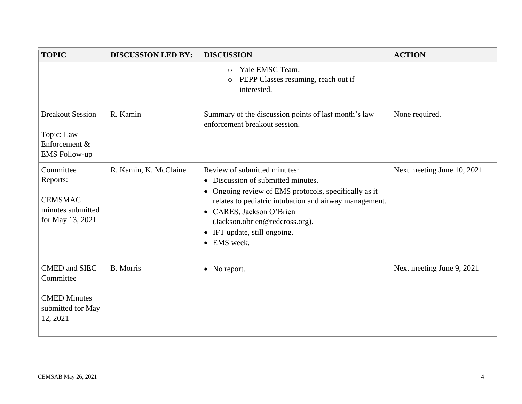| <b>TOPIC</b>                                                                              | <b>DISCUSSION LED BY:</b> | <b>DISCUSSION</b>                                                                                                                                                                                                                                                                                                        | <b>ACTION</b>              |
|-------------------------------------------------------------------------------------------|---------------------------|--------------------------------------------------------------------------------------------------------------------------------------------------------------------------------------------------------------------------------------------------------------------------------------------------------------------------|----------------------------|
|                                                                                           |                           | Yale EMSC Team.<br>$\circ$<br>PEPP Classes resuming, reach out if<br>$\circ$<br>interested.                                                                                                                                                                                                                              |                            |
| <b>Breakout Session</b><br>Topic: Law<br>Enforcement &<br><b>EMS</b> Follow-up            | R. Kamin                  | Summary of the discussion points of last month's law<br>enforcement breakout session.                                                                                                                                                                                                                                    | None required.             |
| Committee<br>Reports:<br><b>CEMSMAC</b><br>minutes submitted<br>for May 13, 2021          | R. Kamin, K. McClaine     | Review of submitted minutes:<br>• Discussion of submitted minutes.<br>• Ongoing review of EMS protocols, specifically as it<br>relates to pediatric intubation and airway management.<br>• CARES, Jackson O'Brien<br>(Jackson.obrien@redcross.org).<br>IFT update, still ongoing.<br>$\bullet$<br>EMS week.<br>$\bullet$ | Next meeting June 10, 2021 |
| <b>CMED</b> and SIEC<br>Committee<br><b>CMED Minutes</b><br>submitted for May<br>12, 2021 | <b>B.</b> Morris          | • No report.                                                                                                                                                                                                                                                                                                             | Next meeting June 9, 2021  |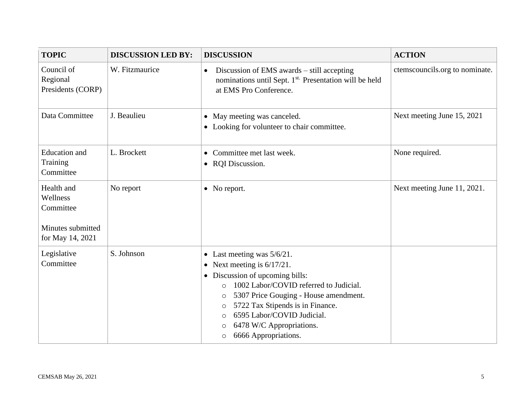| <b>TOPIC</b>                                             | <b>DISCUSSION LED BY:</b> | <b>DISCUSSION</b>                                                                                                                                                                                                                                                                                                                                                                           | <b>ACTION</b>                  |
|----------------------------------------------------------|---------------------------|---------------------------------------------------------------------------------------------------------------------------------------------------------------------------------------------------------------------------------------------------------------------------------------------------------------------------------------------------------------------------------------------|--------------------------------|
| Council of<br>Regional<br>Presidents (CORP)              | W. Fitzmaurice            | Discussion of EMS awards – still accepting<br>$\bullet$<br>nominations until Sept. 1 <sup>st.</sup> Presentation will be held<br>at EMS Pro Conference.                                                                                                                                                                                                                                     | ctemscouncils.org to nominate. |
| Data Committee                                           | J. Beaulieu               | • May meeting was canceled.<br>• Looking for volunteer to chair committee.                                                                                                                                                                                                                                                                                                                  | Next meeting June 15, 2021     |
| <b>Education</b> and<br>Training<br>Committee            | L. Brockett               | • Committee met last week.<br>• RQI Discussion.                                                                                                                                                                                                                                                                                                                                             | None required.                 |
| Health and<br>Wellness<br>Committee<br>Minutes submitted | No report                 | • No report.                                                                                                                                                                                                                                                                                                                                                                                | Next meeting June 11, 2021.    |
| for May 14, 2021                                         |                           |                                                                                                                                                                                                                                                                                                                                                                                             |                                |
| Legislative<br>Committee                                 | S. Johnson                | Last meeting was $5/6/21$ .<br>$\bullet$<br>Next meeting is $6/17/21$ .<br>$\bullet$<br>Discussion of upcoming bills:<br>$\bullet$<br>1002 Labor/COVID referred to Judicial.<br>$\circ$<br>5307 Price Gouging - House amendment.<br>$\circ$<br>5722 Tax Stipends is in Finance.<br>$\circ$<br>6595 Labor/COVID Judicial.<br>O<br>6478 W/C Appropriations.<br>O<br>6666 Appropriations.<br>O |                                |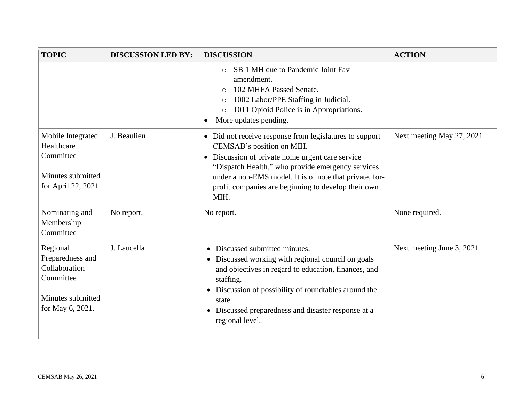| <b>TOPIC</b>                                                                                        | <b>DISCUSSION LED BY:</b> | <b>DISCUSSION</b>                                                                                                                                                                                                                                                                                                                  | <b>ACTION</b>             |
|-----------------------------------------------------------------------------------------------------|---------------------------|------------------------------------------------------------------------------------------------------------------------------------------------------------------------------------------------------------------------------------------------------------------------------------------------------------------------------------|---------------------------|
|                                                                                                     |                           | SB 1 MH due to Pandemic Joint Fav<br>$\Omega$<br>amendment.<br>102 MHFA Passed Senate.<br>$\circ$<br>1002 Labor/PPE Staffing in Judicial.<br>$\circ$<br>1011 Opioid Police is in Appropriations.<br>$\circ$<br>More updates pending.<br>$\bullet$                                                                                  |                           |
| Mobile Integrated<br>Healthcare<br>Committee<br>Minutes submitted<br>for April 22, 2021             | J. Beaulieu               | • Did not receive response from legislatures to support<br>CEMSAB's position on MIH.<br>Discussion of private home urgent care service<br>$\bullet$<br>"Dispatch Health," who provide emergency services<br>under a non-EMS model. It is of note that private, for-<br>profit companies are beginning to develop their own<br>MIH. | Next meeting May 27, 2021 |
| Nominating and<br>Membership<br>Committee                                                           | No report.                | No report.                                                                                                                                                                                                                                                                                                                         | None required.            |
| Regional<br>Preparedness and<br>Collaboration<br>Committee<br>Minutes submitted<br>for May 6, 2021. | J. Laucella               | • Discussed submitted minutes.<br>• Discussed working with regional council on goals<br>and objectives in regard to education, finances, and<br>staffing.<br>• Discussion of possibility of roundtables around the<br>state.<br>• Discussed preparedness and disaster response at a<br>regional level.                             | Next meeting June 3, 2021 |